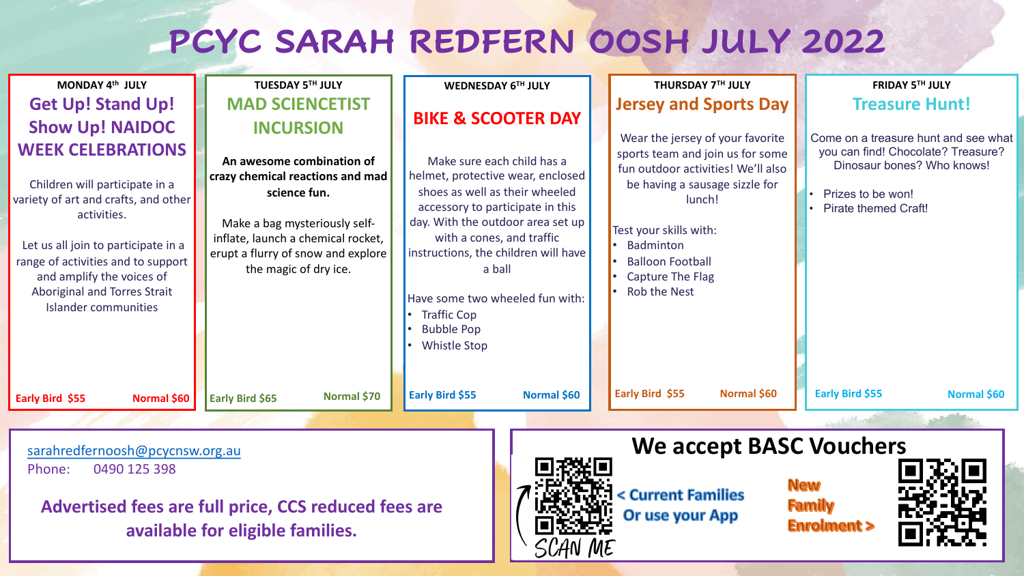## **PCYC SARAH REDFERN OOS**

| MONDAY 4th JULY                                                                                                                                                                                                                                                                            | <b>TUESDAY 5TH JULY</b>                                                                                                                                                                                             | <b>WEDNESDAY 6TH JULY</b>                                                                                                                                                                                                                                                                                                                                      |  |                                                                                         |
|--------------------------------------------------------------------------------------------------------------------------------------------------------------------------------------------------------------------------------------------------------------------------------------------|---------------------------------------------------------------------------------------------------------------------------------------------------------------------------------------------------------------------|----------------------------------------------------------------------------------------------------------------------------------------------------------------------------------------------------------------------------------------------------------------------------------------------------------------------------------------------------------------|--|-----------------------------------------------------------------------------------------|
| <b>Get Up! Stand Up!</b>                                                                                                                                                                                                                                                                   | <b>MAD SCIENCETIST</b>                                                                                                                                                                                              |                                                                                                                                                                                                                                                                                                                                                                |  | <b>Jerse</b>                                                                            |
| <b>Show Up! NAIDOC</b>                                                                                                                                                                                                                                                                     | <b>INCURSION</b>                                                                                                                                                                                                    | <b>BIKE &amp; SCOOTER DAY</b>                                                                                                                                                                                                                                                                                                                                  |  | Wear                                                                                    |
| <b>WEEK CELEBRATIONS</b><br>Children will participate in a<br>variety of art and crafts, and other<br>activities.<br>Let us all join to participate in a<br>range of activities and to support<br>and amplify the voices of<br>Aboriginal and Torres Strait<br><b>Islander communities</b> | An awesome combination of<br>crazy chemical reactions and mad<br>science fun.<br>Make a bag mysteriously self-<br>inflate, launch a chemical rocket,<br>erupt a flurry of snow and explore<br>the magic of dry ice. | Make sure each child has a<br>helmet, protective wear, enclosed<br>shoes as well as their wheeled<br>accessory to participate in this<br>day. With the outdoor area set up<br>with a cones, and traffic<br>instructions, the children will have<br>a ball<br>Have some two wheeled fun with:<br><b>Traffic Cop</b><br><b>Bubble Pop</b><br><b>Whistle Stop</b> |  | sports:<br>fun ou<br>be ha<br>Test you<br><b>Badn</b><br><b>Ballo</b><br>Captu<br>Rob t |
| Normal \$60<br>Early Bird \$55                                                                                                                                                                                                                                                             | Normal \$70<br><b>Early Bird \$65</b>                                                                                                                                                                               | Early Bird \$55<br>Normal \$60                                                                                                                                                                                                                                                                                                                                 |  | <b>Early Bir</b>                                                                        |
|                                                                                                                                                                                                                                                                                            |                                                                                                                                                                                                                     |                                                                                                                                                                                                                                                                                                                                                                |  |                                                                                         |
| sarahredfernoosh@pcycnsw.org.au                                                                                                                                                                                                                                                            |                                                                                                                                                                                                                     | FI -94 / FI                                                                                                                                                                                                                                                                                                                                                    |  | W                                                                                       |

Phone: 0490 125 398

**Advertised fees are full price, CCS reduced fees are available for eligible families.**